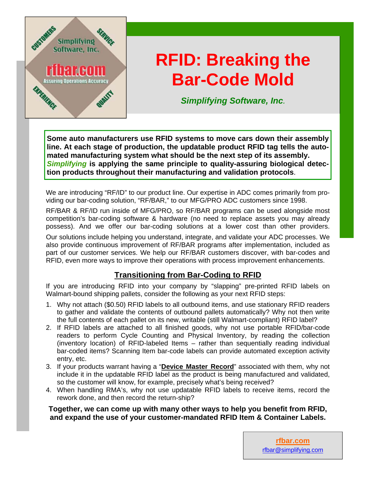

## **RFID: Breaking the Bar-Code Mold**

*Simplifying Software, Inc.* 

**Some auto manufacturers use RFID systems to move cars down their assembly line. At each stage of production, the updatable product RFID tag tells the automated manufacturing system what should be the next step of its assembly.**  *Simplifying* **is applying the same principle to quality-assuring biological detection products throughout their manufacturing and validation protocols**.

We are introducing "RF/ID" to our product line. Our expertise in ADC comes primarily from providing our bar-coding solution, "RF/BAR," to our MFG/PRO ADC customers since 1998.

RF/BAR & RF/ID run inside of MFG/PRO, so RF/BAR programs can be used alongside most competition's bar-coding software & hardware (no need to replace assets you may already possess). And we offer our bar-coding solutions at a lower cost than other providers.

Our solutions include helping you understand, integrate, and validate your ADC processes. We also provide continuous improvement of RF/BAR programs after implementation, included as part of our customer services. We help our RF/BAR customers discover, with bar-codes and RFID, even more ways to improve their operations with process improvement enhancements.

## **Transitioning from Bar-Coding to RFID**

If you are introducing RFID into your company by "slapping" pre-printed RFID labels on Walmart-bound shipping pallets, consider the following as your next RFID steps:

- 1. Why not attach (\$0.50) RFID labels to all outbound items, and use stationary RFID readers to gather and validate the contents of outbound pallets automatically? Why not then write the full contents of each pallet on its new, writable (still Walmart-compliant) RFID label?
- 2. If RFID labels are attached to all finished goods, why not use portable RFID/bar-code readers to perform Cycle Counting and Physical Inventory, by reading the collection (inventory location) of RFID-labeled Items – rather than sequentially reading individual bar-coded items? Scanning Item bar-code labels can provide automated exception activity entry, etc.
- 3. If your products warrant having a "**Device Master Record**" associated with them, why not include it in the updatable RFID label as the product is being manufactured and validated, so the customer will know, for example, precisely what's being received?
- 4. When handling RMA's, why not use updatable RFID labels to receive items, record the rework done, and then record the return-ship?

**Together, we can come up with many other ways to help you benefit from RFID, and expand the use of your customer-mandated RFID Item & Container Labels.**